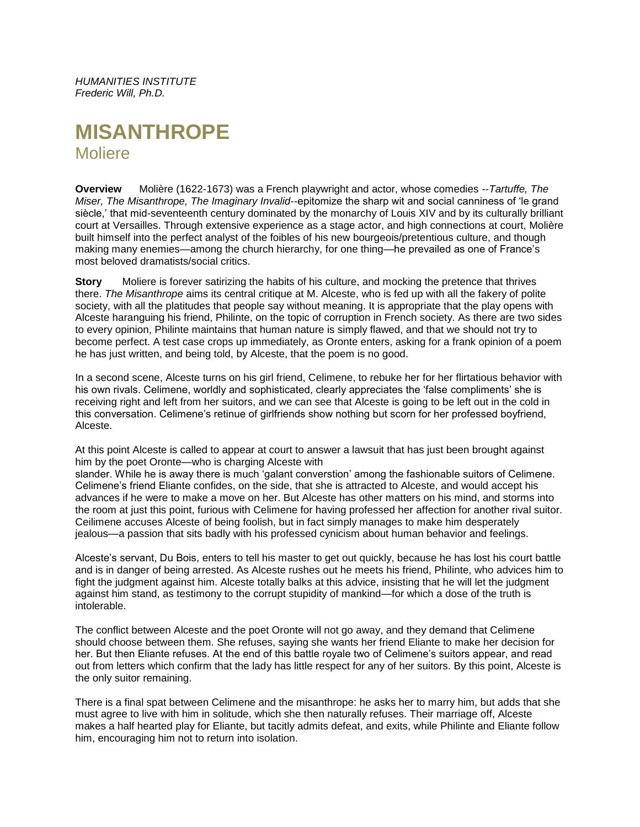*HUMANITIES INSTITUTE Frederic Will, Ph.D.*

# **MISANTHROPE Moliere**

**Overview** Molière (1622-1673) was a French playwright and actor, whose comedies --*Tartuffe, The Miser, The Misanthrope, The Imaginary Invalid*--epitomize the sharp wit and social canniness of 'le grand siècle,' that mid-seventeenth century dominated by the monarchy of Louis XIV and by its culturally brilliant court at Versailles. Through extensive experience as a stage actor, and high connections at court, Molière built himself into the perfect analyst of the foibles of his new bourgeois/pretentious culture, and though making many enemies—among the church hierarchy, for one thing—he prevailed as one of France's most beloved dramatists/social critics.

**Story** Moliere is forever satirizing the habits of his culture, and mocking the pretence that thrives there. *The Misanthrope* aims its central critique at M. Alceste, who is fed up with all the fakery of polite society, with all the platitudes that people say without meaning. It is appropriate that the play opens with Alceste haranguing his friend, Philinte, on the topic of corruption in French society. As there are two sides to every opinion, Philinte maintains that human nature is simply flawed, and that we should not try to become perfect. A test case crops up immediately, as Oronte enters, asking for a frank opinion of a poem he has just written, and being told, by Alceste, that the poem is no good.

In a second scene, Alceste turns on his girl friend, Celimene, to rebuke her for her flirtatious behavior with his own rivals. Celimene, worldly and sophisticated, clearly appreciates the 'false compliments' she is receiving right and left from her suitors, and we can see that Alceste is going to be left out in the cold in this conversation. Celimene's retinue of girlfriends show nothing but scorn for her professed boyfriend, Alceste.

At this point Alceste is called to appear at court to answer a lawsuit that has just been brought against him by the poet Oronte—who is charging Alceste with

slander. While he is away there is much 'galant converstion' among the fashionable suitors of Celimene. Celimene's friend Eliante confides, on the side, that she is attracted to Alceste, and would accept his advances if he were to make a move on her. But Alceste has other matters on his mind, and storms into the room at just this point, furious with Celimene for having professed her affection for another rival suitor. Ceilimene accuses Alceste of being foolish, but in fact simply manages to make him desperately jealous—a passion that sits badly with his professed cynicism about human behavior and feelings.

Alceste's servant, Du Bois, enters to tell his master to get out quickly, because he has lost his court battle and is in danger of being arrested. As Alceste rushes out he meets his friend, Philinte, who advices him to fight the judgment against him. Alceste totally balks at this advice, insisting that he will let the judgment against him stand, as testimony to the corrupt stupidity of mankind—for which a dose of the truth is intolerable.

The conflict between Alceste and the poet Oronte will not go away, and they demand that Celimene should choose between them. She refuses, saying she wants her friend Eliante to make her decision for her. But then Eliante refuses. At the end of this battle royale two of Celimene's suitors appear, and read out from letters which confirm that the lady has little respect for any of her suitors. By this point, Alceste is the only suitor remaining.

There is a final spat between Celimene and the misanthrope: he asks her to marry him, but adds that she must agree to live with him in solitude, which she then naturally refuses. Their marriage off, Alceste makes a half hearted play for Eliante, but tacitly admits defeat, and exits, while Philinte and Eliante follow him, encouraging him not to return into isolation.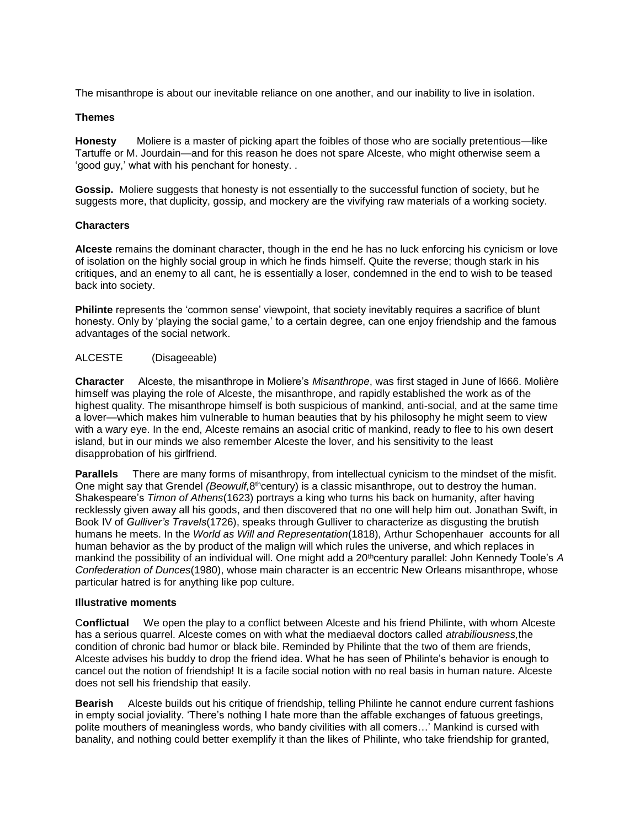The misanthrope is about our inevitable reliance on one another, and our inability to live in isolation.

## **Themes**

**Honesty** Moliere is a master of picking apart the foibles of those who are socially pretentious—like Tartuffe or M. Jourdain—and for this reason he does not spare Alceste, who might otherwise seem a 'good guy,' what with his penchant for honesty. .

**Gossip.** Moliere suggests that honesty is not essentially to the successful function of society, but he suggests more, that duplicity, gossip, and mockery are the vivifying raw materials of a working society.

### **Characters**

**Alceste** remains the dominant character, though in the end he has no luck enforcing his cynicism or love of isolation on the highly social group in which he finds himself. Quite the reverse; though stark in his critiques, and an enemy to all cant, he is essentially a loser, condemned in the end to wish to be teased back into society.

**Philinte** represents the 'common sense' viewpoint, that society inevitably requires a sacrifice of blunt honesty. Only by 'playing the social game,' to a certain degree, can one enjoy friendship and the famous advantages of the social network.

# ALCESTE (Disageeable)

**Character** Alceste, the misanthrope in Moliere's *Misanthrope*, was first staged in June of l666. Molière himself was playing the role of Alceste, the misanthrope, and rapidly established the work as of the highest quality. The misanthrope himself is both suspicious of mankind, anti-social, and at the same time a lover—which makes him vulnerable to human beauties that by his philosophy he might seem to view with a wary eye. In the end, Alceste remains an asocial critic of mankind, ready to flee to his own desert island, but in our minds we also remember Alceste the lover, and his sensitivity to the least disapprobation of his girlfriend.

**Parallels** There are many forms of misanthropy, from intellectual cynicism to the mindset of the misfit. One might say that Grendel *(Beowulf,*8<sup>th</sup>century) is a classic misanthrope, out to destroy the human. Shakespeare's *Timon of Athens*(1623) portrays a king who turns his back on humanity, after having recklessly given away all his goods, and then discovered that no one will help him out. Jonathan Swift, in Book IV of *Gulliver's Travels*(1726), speaks through Gulliver to characterize as disgusting the brutish humans he meets. In the *World as Will and Representation*(1818), Arthur Schopenhauer accounts for all human behavior as the by product of the malign will which rules the universe, and which replaces in mankind the possibility of an individual will. One might add a 20<sup>th</sup>century parallel: John Kennedy Toole's A *Confederation of Dunces*(1980), whose main character is an eccentric New Orleans misanthrope, whose particular hatred is for anything like pop culture.

### **Illustrative moments**

C**onflictual** We open the play to a conflict between Alceste and his friend Philinte, with whom Alceste has a serious quarrel. Alceste comes on with what the mediaeval doctors called *atrabiliousness,*the condition of chronic bad humor or black bile. Reminded by Philinte that the two of them are friends, Alceste advises his buddy to drop the friend idea. What he has seen of Philinte's behavior is enough to cancel out the notion of friendship! It is a facile social notion with no real basis in human nature. Alceste does not sell his friendship that easily.

**Bearish** Alceste builds out his critique of friendship, telling Philinte he cannot endure current fashions in empty social joviality. 'There's nothing I hate more than the affable exchanges of fatuous greetings, polite mouthers of meaningless words, who bandy civilities with all comers…' Mankind is cursed with banality, and nothing could better exemplify it than the likes of Philinte, who take friendship for granted,